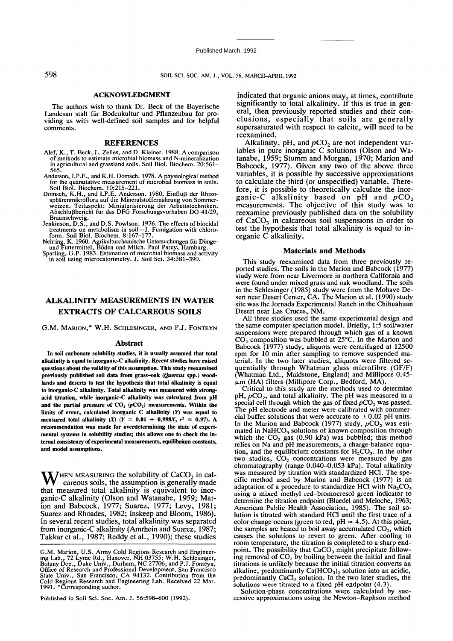### **ACKNOWLEDGMENT**

The authors wish to thank Dr. Beck of the Bayerische Landesan stalt fur Bodenkultur und Pflanzenbau for providing us with well-defined soil samples and for helpful comments.

### **REFERENCES**

- Alef, K., T. Beck, L. Zelles, and D. Kleiner. 1988. A comparison ext, we, the estimate microbial biomass and N-mineralization<br>in agricultural and grassland soils. Soil Biol. Biochem. 20:561– 565
- Anderson, I.P.E., and K.H. Domsch. 1978. A physiological method<br>for the quantitative measurement of microbial biomass in soils. Soil Biol. Biochem. 10:215-221.<br>Domsch, K.H., and I.P.E. Anderson. 1980. Einfluß der Rhizo-
- sphärenmikroflora auf die Mineralstoffernährung von Sommer-<br>weizen. Teilaspekt: Miniaturisierung der Arbeitstechniken. Abschlußbericht für das DFG Forschungsvorhaben DO 41/29, Braunschweig.
- Jenkinson, D.S., and D.S. Powlson. 1976. The effects of biocidal treatments on metabolism in soil—1. Furnigation with chloro-<br>form. Soil Biol. Biochem. 8:167-177.
- Form, Son Dio. Discussion. Oriental Untersuchungen für Dünge-<br>und Futtermittel, Böden und Milch. Paul Parey, Hamburg.<br>Sparling, G.P. 1983. Estimation of microbial biomass and activity<br>in soil using microcalorimetry. J. Soi
- 

# **ALKALINITY MEASUREMENTS IN WATER EXTRACTS OF CALCAREOUS SOILS**

G.M. MARION,\* W.H. SCHLESINGER, AND P.J. FONTEYN

#### **Abstract**

**In soil carbonate solubility studies, it is usually assumed that total alkalinity is equal to inorganic-C alkalinity. Recent studies have raised questions about the validity of this assumption. This study reexamined previously published soil data from grass-oak** *(Quercus* **spp.) woodlands and deserts to test the hypothesis that total alkalinity is equal to inorganic-C alkalinity. Total alkalinity was measured with strongacid titration, while inorganic-C alkalinity was calculated from pH** and the partial pressure of  $CO<sub>2</sub>$  ( $pCO<sub>2</sub>$ ) measurements. Within the **limits of error, calculated inorganic C alkalinity** *(Y)* **was equal to measured total alkalinity** *(X)*  $(Y = 0.01 + 0.998X, r^2 = 0.97)$ . A **recommendation was made for overdetermining the state of experimental systems in solubility studies; this allows one to check the internal consistency of experimental measurements, equilibrium constants, and model assumptions.**

 $W$ HEN MEASURING the solubility of  $CaCO<sub>3</sub>$  in calcareous soils, the assumption is generally made that measured total alkalinity is equivalent to inorganic-C alkalinity (Olson and Watanabe, 1959; Marion and Babcock, 1977; Suarez, 1977; Levy, 1981; Suarez and Rhoades, 1982; Inskeep and Bloom, 1986). In several recent studies, total alkalinity was separated from inorganic-C alkalinity (Amrhein and Suarez, 1987; Takkar et al., 1987; Reddy et al., 1990); these studies

Published in Soil Sci. Soc. Am. J. 56:598-600 (1992).

indicated that organic anions may, at times, contribute significantly to total alkalinity. If this is true in general, then previously reported studies and their conclusions, especially that soils are generally supersaturated with respect to calcite, will need to be reexamined.

Alkalinity, pH, and *pCO2* are not independent variables in pure inorganic C solutions (Olson and Watanabe, 1959; Stumm and Morgan, 1970; Marion and Babcock, 1977). Given any two of the above three variables, it is possible by successive approximations to calculate the third (or unspecified) variable. Therefore, it is possible to theoretically calculate the inorganic-C alkalinity based on pH and *pCO<sup>2</sup>* measurements. The objective of this study was to reexamine previously published data on the solubility of  $CaCO<sub>3</sub>$  in calcareous soil suspensions in order to test the hypothesis that total alkalinity is equal to inorganic C alkalinity.

## **Materials and Methods**

This study reexamined data from three previously reported studies. The soils in the Marion and Babcock (1977) study were from near Livermore in northern California and were found under mixed grass and oak woodland. The soils in the Schlesinger (1985) study were from the Mohave Desert near Desert Center, CA. The Marion et al. (1990) study site was the Jornada Experimental Ranch in the Chihuahuan Desert near Las Cruces, NM.

All three studies used the same experimental design and the same computer speciation model. Briefly, 1:5 soil/water suspensions were prepared through which gas of a known  $CO<sub>2</sub>$  composition was bubbled at 25°C. In the Marion and Babcock (1977) study, aliquots were centrifuged at 12500 rpm for 10 min after sampling to remove suspended material. In the two later studies, aliquots were filtered sequentially through Whatman glass microfibre (GF/F) (Whatman Ltd., Maidstone, England) and Millipore 0.45-  $\mu$ m (HA) filters (Millipore Corp., Bedford, MA).

Critical to this study are the methods used to determine pH, *pCO2,* and total alkalinity. The pH was measured in a special cell through which the gas of fixed *pCO2* was passed. The pH electrode and meter were calibrated with commercial buffer solutions that were accurate to  $\pm 0.02$  pH units. In the Marion and Babcock (1977) study, *pCO2* was estimated in NaHCO<sub>3</sub> solutions of known composition through which the  $CO<sub>2</sub>$  gas (0.90 kPa) was bubbled; this method relies on Na and pH measurements, a charge-balance equation, and the equilibrium constants for  $H_2CO_3$ . In the other two studies,  $CO<sub>2</sub>$  concentrations were measured by gas chromatography (range 0.040-0.053 kPa). Total alkalinity was measured by titration with standardized HC1. The specific method used by Marion and Babcock (1977) is an adaptation of a procedure to standardize HCl with  $Na<sub>2</sub>CO<sub>3</sub>$ using a mixed methyl red-bromocresol green indicator to determine the titration endpoint (Blaedel and Meloche, 1963; American Public Health Association, 1985). The soil solution is titrated with standard HC1 until the first trace of a color change occurs (green to red, pH  $\approx$  4.5). At this point, the samples are heated to boil away accumulated  $CO<sub>2</sub>$ , which causes the solutions to revert to green. After cooling to room temperature, the titration is completed to a sharp endpoint. The possibility that  $CaCO<sub>3</sub>$  might precipitate following removal of  $CO<sub>2</sub>$  by boiling between the initial and final titrations is unlikely because the initial titration converts an alkaline, predominantly  $Ca(HCO<sub>3</sub>)<sub>2</sub>$  solution into an acidic, predominantly  $CaCl<sub>2</sub>$  solution. In the two later studies, the solutions were titrated to a fixed pH endpoint (4.3).

Solution-phase concentrations were calculated by successive approximations using the Newton—Raphson method

G.M. Marion, U.S. Army Cold Regions Research and Engineer-ing Lab., 72 Lyme Rd., Hanover, NH 03755; W.H. Schlesinger, Botany Dep., Duke Univ., Durham, NC 27706; and P.J. Fonteyn, Office of Research and Professional Development, San Francisco State Univ., San Francisco, CA 94132. Contribution from the Cold Regions Research and Engineering Lab. Received 22 Mar. 1991. "Corresponding author.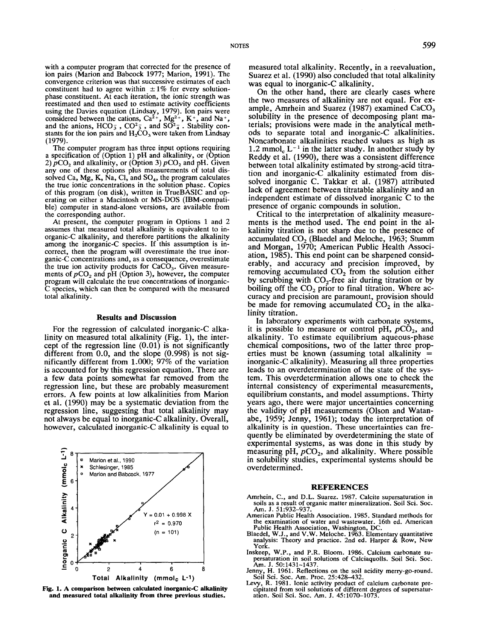with a computer program that corrected for the presence of ion pairs (Marion and Babcock 1977; Marion, 1991). The convergence criterion was that successive estimates of each constituent had to agree within  $\pm 1\%$  for every solutionphase constituent. At each iteration, the ionic strength was reestimated and then used to estimate activity coefficients using the Davies equation (Lindsay, 1979). Ion pairs were considered between the cations,  $Ca^{2+}$ ,  $Mg^{2+}$ ,  $K^+$ , and Na+, and the anions,  $HCO_{\frac{2}{3}}$ ,  $CO_{\frac{2}{3}}$ , and  $SO_{\frac{2}{3}}$ . Stability constants for the ion pairs and  $H_2CO_3$  were taken from Lindsay (1979).

The computer program has three input options requiring a specification of (Option 1) pH and alkalinity, or (Option 2)  $pCO<sub>2</sub>$  and alkalinity, or (Option 3)  $pCO<sub>2</sub>$  and pH. Given any one of these options plus measurements of total dissolved Ca, Mg, K, Na, Cl, and  $SO_4$ , the program calculates the true ionic concentrations in the solution phase. Copies of this program (on disk), written in TrueBASIC and operating on either a Macintosh or MS-DOS (IBM-compatible) computer in stand-alone versions, are available from the corresponding author.

At present, the computer program in Options 1 and 2 assumes that measured total alkalinity is equivalent to inorganic-C alkalinity, and therefore partitions the alkalinity among the inorganic-C species. If this assumption is incorrect, then the program will overestimate the true inorganic-C concentrations and, as a consequence, overestimate the true ion activity products for  $CaCO<sub>3</sub>$ . Given measurements of  $pCO<sub>2</sub>$  and  $pH$  (Option 3), however, the computer program will calculate the true concentrations of inorganic-C species, which can then be compared with the measured total alkalinity.

#### **Results and Discussion**

For the regression of calculated inorganic-C alkalinity on measured total alkalinity (Fig. 1), the intercept of the regression line  $(0.01)$  is not significantly different from 0.0, and the slope (0.998) is not significantly different from 1.000; 97% of the variation is accounted for by this regression equation. There are a few data points somewhat far removed from the regression line, but these are probably measurement errors. A few points at low alkalinities from Marion et al. (1990) may be a systematic deviation from the regression line, suggesting that total alkalinity may not always be equal to inorganic-C alkalinity. Overall, however, calculated inorganic-C alkalinity is equal to



**Fig. 1. A comparison between calculated inorganic-C alkalinity and measured total alkalinity from three previous studies.**

measured total alkalinity. Recently, in a reevaluation, Suarez et al. (1990) also concluded that total alkalinity was equal to inorganic-C alkalinity.

On the other hand, there are clearly cases where the two measures of alkalinity are not equal. For example, Amrhein and Suarez (1987) examined CaCO<sub>3</sub> solubility in the presence of decomposing plant materials; provisions were made in the analytical methods to separate total and inorganic-C alkalinities. Noncarbonate alkalinities reached values as high as 1.2 mmol<sub>c</sub>  $L^{-1}$  in the latter study. In another study by Reddy et al. (1990), there was a consistent difference between total alkalinity estimated by strong-acid titration and inorganic-C alkalinity estimated from dissolved inorganic C. Takkar et al. (1987) attributed lack of agreement between titratable alkalinity and an independent estimate of dissolved inorganic C to the presence of organic compounds in solution.

Critical to the interpretation of alkalinity measurements is the method used. The end point in the alkalinity titration is not sharp due to the presence of accumulated  $CO<sub>2</sub>$  (Blaedel and Meloche, 1963; Stumm and Morgan, 1970; American Public Health Association, 1985). This end point can be sharpened considerably, and accuracy and precision improved, by removing accumulated  $CO<sub>2</sub>$  from the solution either by scrubbing with  $CO<sub>2</sub>$ -free air during titration or by boiling off the  $CO<sub>2</sub>$  prior to final titration. Where accuracy and precision are paramount, provision should be made for removing accumulated  $CO<sub>2</sub>$  in the alkalinity titration.

In laboratory experiments with carbonate systems, it is possible to measure or control pH, *pCO2,* and alkalinity. To estimate equilibrium aqueous-phase chemical compositions, two of the latter three properties must be known (assuming total alkalinity = inorganic-C alkalinity). Measuring all three properties leads to an overdetermination of the state of the system. This overdetermination allows one to check the internal consistency of experimental measurements, equilibrium constants, and model assumptions. Thirty years ago, there were major uncertainties concerning the validity of pH measurements (Olson and Watanabe, 1959; Jenny, 1961); today the interpretation of alkalinity is in question. These uncertainties can frequently be eliminated by overdetermining the state of experimental systems, as was done in this study by measuring pH, *pCO2,* and alkalinity. Where possible in solubility studies, experimental systems should be overdetermined.

## **REFERENCES**

- Amrhein, C., and D.L. Suarez. 1987. Calcite supersaturation in soils as a result of organic matter mineralization. Soil Sci. Soc. Am. J. 51:932-93
- American Public Health Association. 1985. Standard methods for the examination of water and wastewater. 16th ed. American<br>public Health Association, Washington, DC.<br>Blaedel, W.J., and V.W. Meloche. 1963. Elementary quantitative<br>analysis: Theory and practice. 2nd ed. Harper & Row, New
- York.
- Inskeep, W.P., and P.R. Bloom. 1986. Calcium carbonate supersaturation in soil solutions of Calciaquolls. Soil Sci. Soc. Am. J. 50:1431–1437
- Jenny, H. 1961. Reflections on the soil acidity merry-go-round.
- Soil Sci. Soc. Am. Proc. 25:428-432.<br>Levy, R. 1981. Ionic activity product of calcium carbonate pre-<br>cipitated from soil solutions of different degrees of supersatur-<br>ation. Soil Sci. Soc. Am. J. 45:1070-1073.